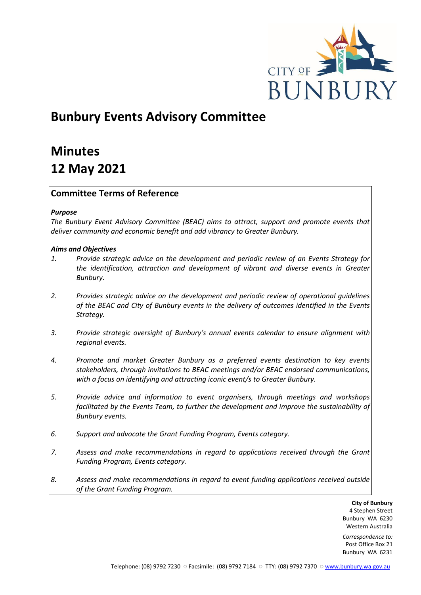

## **Bunbury Events Advisory Committee**

# **Minutes 12 May 2021**

#### **Committee Terms of Reference**

#### *Purpose*

*The Bunbury Event Advisory Committee (BEAC) aims to attract, support and promote events that deliver community and economic benefit and add vibrancy to Greater Bunbury.*

#### *Aims and Objectives*

- *1. Provide strategic advice on the development and periodic review of an Events Strategy for the identification, attraction and development of vibrant and diverse events in Greater Bunbury.*
- *2. Provides strategic advice on the development and periodic review of operational guidelines of the BEAC and City of Bunbury events in the delivery of outcomes identified in the Events Strategy.*
- *3. Provide strategic oversight of Bunbury's annual events calendar to ensure alignment with regional events.*
- *4. Promote and market Greater Bunbury as a preferred events destination to key events stakeholders, through invitations to BEAC meetings and/or BEAC endorsed communications, with a focus on identifying and attracting iconic event/s to Greater Bunbury.*
- *5. Provide advice and information to event organisers, through meetings and workshops*  facilitated by the Events Team, to further the development and improve the sustainability of *Bunbury events.*
- *6. Support and advocate the Grant Funding Program, Events category.*
- *7. Assess and make recommendations in regard to applications received through the Grant Funding Program, Events category.*
- *8. Assess and make recommendations in regard to event funding applications received outside of the Grant Funding Program.*

**City of Bunbury** 4 Stephen Street Bunbury WA 6230 Western Australia

*Correspondence to:* Post Office Box 21 Bunbury WA 6231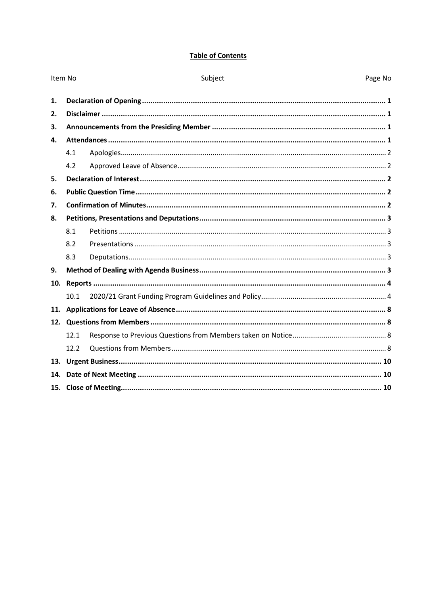#### **Table of Contents**

| Item No      |      | Subject | Page No |
|--------------|------|---------|---------|
| 1.           |      |         |         |
| 2.           |      |         |         |
| 3.           |      |         |         |
| $\mathbf{4}$ |      |         |         |
|              | 4.1  |         |         |
|              | 4.2  |         |         |
| 5.           |      |         |         |
| 6.           |      |         |         |
| 7.           |      |         |         |
| 8.           |      |         |         |
|              | 8.1  |         |         |
|              | 8.2  |         |         |
|              | 8.3  |         |         |
| 9.           |      |         |         |
| 10.          |      |         |         |
|              | 10.1 |         |         |
| 11.          |      |         |         |
|              |      |         |         |
|              | 12.1 |         |         |
|              | 12.2 |         |         |
|              |      |         |         |
| 14.          |      |         |         |
|              |      |         |         |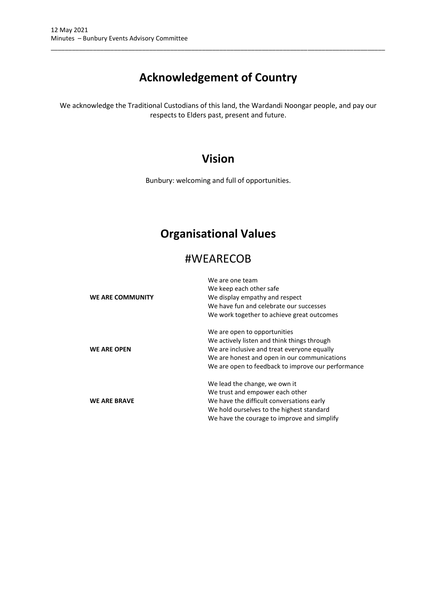## **Acknowledgement of Country**

\_\_\_\_\_\_\_\_\_\_\_\_\_\_\_\_\_\_\_\_\_\_\_\_\_\_\_\_\_\_\_\_\_\_\_\_\_\_\_\_\_\_\_\_\_\_\_\_\_\_\_\_\_\_\_\_\_\_\_\_\_\_\_\_\_\_\_\_\_\_\_\_\_\_\_\_\_\_\_\_\_\_\_\_\_\_\_\_\_\_\_\_\_\_\_

We acknowledge the Traditional Custodians of this land, the Wardandi Noongar people, and pay our respects to Elders past, present and future.

### **Vision**

Bunbury: welcoming and full of opportunities.

## **Organisational Values**

### #WEARECOB

| WE ARE COMMUNITY    | We are one team<br>We keep each other safe<br>We display empathy and respect<br>We have fun and celebrate our successes<br>We work together to achieve great outcomes                                                            |
|---------------------|----------------------------------------------------------------------------------------------------------------------------------------------------------------------------------------------------------------------------------|
| <b>WE ARE OPEN</b>  | We are open to opportunities<br>We actively listen and think things through<br>We are inclusive and treat everyone equally<br>We are honest and open in our communications<br>We are open to feedback to improve our performance |
| <b>WE ARE BRAVE</b> | We lead the change, we own it<br>We trust and empower each other<br>We have the difficult conversations early<br>We hold ourselves to the highest standard<br>We have the courage to improve and simplify                        |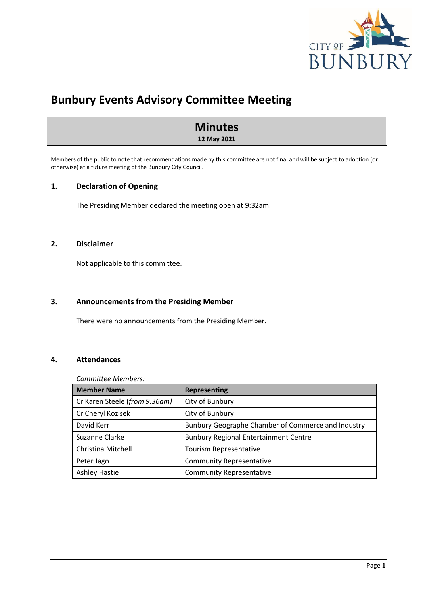

### **Bunbury Events Advisory Committee Meeting**

### **Minutes**

**12 May 2021**

Members of the public to note that recommendations made by this committee are not final and will be subject to adoption (or otherwise) at a future meeting of the Bunbury City Council.

#### <span id="page-3-0"></span>**1. Declaration of Opening**

The Presiding Member declared the meeting open at 9:32am.

#### <span id="page-3-1"></span>**2. Disclaimer**

Not applicable to this committee.

#### <span id="page-3-2"></span>**3. Announcements from the Presiding Member**

There were no announcements from the Presiding Member.

#### <span id="page-3-3"></span>**4. Attendances**

#### *Committee Members:*

| <b>Member Name</b>            | <b>Representing</b>                                |
|-------------------------------|----------------------------------------------------|
| Cr Karen Steele (from 9:36am) | City of Bunbury                                    |
| Cr Cheryl Kozisek             | City of Bunbury                                    |
| David Kerr                    | Bunbury Geographe Chamber of Commerce and Industry |
| Suzanne Clarke                | <b>Bunbury Regional Entertainment Centre</b>       |
| Christina Mitchell            | Tourism Representative                             |
| Peter Jago                    | <b>Community Representative</b>                    |
| <b>Ashley Hastie</b>          | <b>Community Representative</b>                    |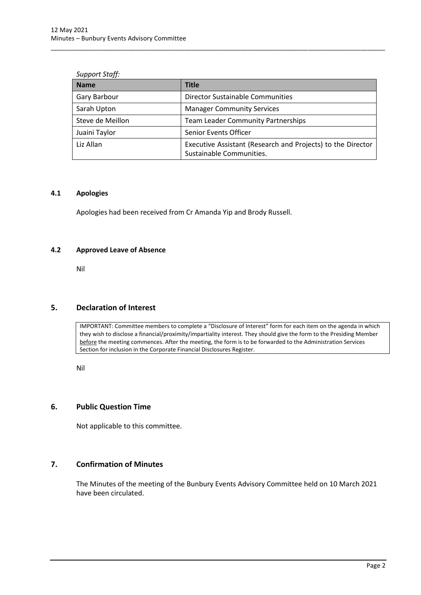| <b>Support Staff:</b> |                      |
|-----------------------|----------------------|
| <b>Name</b>           | <b>Title</b>         |
| Gary Barbour          | <b>Director Sust</b> |

| Gary Barbour     | <b>Director Sustainable Communities</b>                                                 |  |  |
|------------------|-----------------------------------------------------------------------------------------|--|--|
| Sarah Upton      | <b>Manager Community Services</b>                                                       |  |  |
| Steve de Meillon | <b>Team Leader Community Partnerships</b>                                               |  |  |
| Juaini Taylor    | Senior Events Officer                                                                   |  |  |
| Liz Allan        | Executive Assistant (Research and Projects) to the Director<br>Sustainable Communities. |  |  |

\_\_\_\_\_\_\_\_\_\_\_\_\_\_\_\_\_\_\_\_\_\_\_\_\_\_\_\_\_\_\_\_\_\_\_\_\_\_\_\_\_\_\_\_\_\_\_\_\_\_\_\_\_\_\_\_\_\_\_\_\_\_\_\_\_\_\_\_\_\_\_\_\_\_\_\_\_\_\_\_\_\_\_\_\_\_\_\_\_\_\_\_\_\_\_

#### <span id="page-4-0"></span>**4.1 Apologies**

Apologies had been received from Cr Amanda Yip and Brody Russell.

#### <span id="page-4-1"></span>**4.2 Approved Leave of Absence**

Nil

#### <span id="page-4-2"></span>**5. Declaration of Interest**

IMPORTANT: Committee members to complete a "Disclosure of Interest" form for each item on the agenda in which they wish to disclose a financial/proximity/impartiality interest. They should give the form to the Presiding Member before the meeting commences. After the meeting, the form is to be forwarded to the Administration Services Section for inclusion in the Corporate Financial Disclosures Register.

Nil

#### <span id="page-4-3"></span>**6. Public Question Time**

Not applicable to this committee.

#### <span id="page-4-4"></span>**7. Confirmation of Minutes**

The Minutes of the meeting of the Bunbury Events Advisory Committee held on 10 March 2021 have been circulated.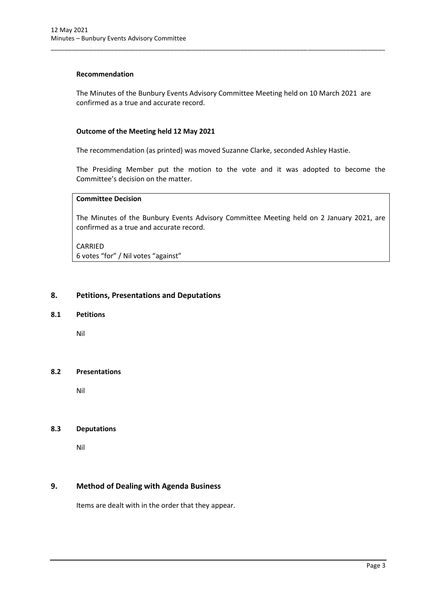#### **Recommendation**

The Minutes of the Bunbury Events Advisory Committee Meeting held on 10 March 2021 are confirmed as a true and accurate record.

\_\_\_\_\_\_\_\_\_\_\_\_\_\_\_\_\_\_\_\_\_\_\_\_\_\_\_\_\_\_\_\_\_\_\_\_\_\_\_\_\_\_\_\_\_\_\_\_\_\_\_\_\_\_\_\_\_\_\_\_\_\_\_\_\_\_\_\_\_\_\_\_\_\_\_\_\_\_\_\_\_\_\_\_\_\_\_\_\_\_\_\_\_\_\_

#### **Outcome of the Meeting held 12 May 2021**

The recommendation (as printed) was moved Suzanne Clarke, seconded Ashley Hastie.

The Presiding Member put the motion to the vote and it was adopted to become the Committee's decision on the matter.

#### **Committee Decision**

The Minutes of the Bunbury Events Advisory Committee Meeting held on 2 January 2021, are confirmed as a true and accurate record.

CARRIED 6 votes "for" / Nil votes "against"

#### <span id="page-5-0"></span>**8. Petitions, Presentations and Deputations**

#### <span id="page-5-1"></span>**8.1 Petitions**

Nil

#### <span id="page-5-2"></span>**8.2 Presentations**

Nil

#### <span id="page-5-3"></span>**8.3 Deputations**

Nil

#### <span id="page-5-4"></span>**9. Method of Dealing with Agenda Business**

Items are dealt with in the order that they appear.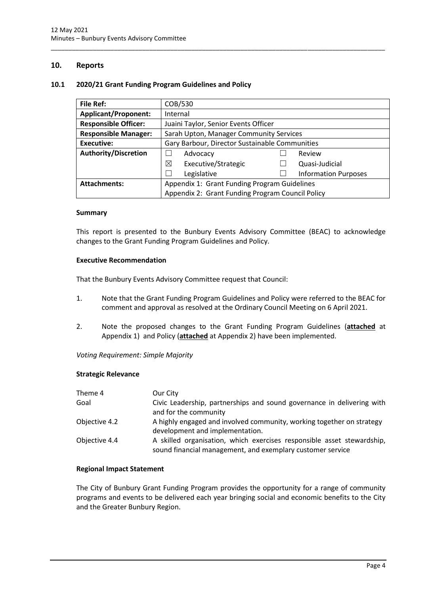#### <span id="page-6-0"></span>**10. Reports**

#### <span id="page-6-1"></span>**10.1 2020/21 Grant Funding Program Guidelines and Policy**

| <b>File Ref:</b>            | COB/530                                          |  |                             |
|-----------------------------|--------------------------------------------------|--|-----------------------------|
| <b>Applicant/Proponent:</b> | Internal                                         |  |                             |
| <b>Responsible Officer:</b> | Juaini Taylor, Senior Events Officer             |  |                             |
| <b>Responsible Manager:</b> | Sarah Upton, Manager Community Services          |  |                             |
| Executive:                  | Gary Barbour, Director Sustainable Communities   |  |                             |
| <b>Authority/Discretion</b> | Advocacy                                         |  | Review                      |
|                             | ⊠<br>Executive/Strategic                         |  | Quasi-Judicial              |
|                             | Legislative                                      |  | <b>Information Purposes</b> |
| <b>Attachments:</b>         | Appendix 1: Grant Funding Program Guidelines     |  |                             |
|                             | Appendix 2: Grant Funding Program Council Policy |  |                             |

\_\_\_\_\_\_\_\_\_\_\_\_\_\_\_\_\_\_\_\_\_\_\_\_\_\_\_\_\_\_\_\_\_\_\_\_\_\_\_\_\_\_\_\_\_\_\_\_\_\_\_\_\_\_\_\_\_\_\_\_\_\_\_\_\_\_\_\_\_\_\_\_\_\_\_\_\_\_\_\_\_\_\_\_\_\_\_\_\_\_\_\_\_\_\_

#### **Summary**

This report is presented to the Bunbury Events Advisory Committee (BEAC) to acknowledge changes to the Grant Funding Program Guidelines and Policy.

#### **Executive Recommendation**

That the Bunbury Events Advisory Committee request that Council:

- 1. Note that the Grant Funding Program Guidelines and Policy were referred to the BEAC for comment and approval as resolved at the Ordinary Council Meeting on 6 April 2021.
- 2. Note the proposed changes to the Grant Funding Program Guidelines (**attached** at Appendix 1) and Policy (**attached** at Appendix 2) have been implemented.

*Voting Requirement: Simple Majority* 

#### **Strategic Relevance**

| Theme 4       | Our City                                                                                                                             |
|---------------|--------------------------------------------------------------------------------------------------------------------------------------|
| Goal          | Civic Leadership, partnerships and sound governance in delivering with<br>and for the community                                      |
| Objective 4.2 | A highly engaged and involved community, working together on strategy<br>development and implementation.                             |
| Objective 4.4 | A skilled organisation, which exercises responsible asset stewardship,<br>sound financial management, and exemplary customer service |

#### **Regional Impact Statement**

The City of Bunbury Grant Funding Program provides the opportunity for a range of community programs and events to be delivered each year bringing social and economic benefits to the City and the Greater Bunbury Region.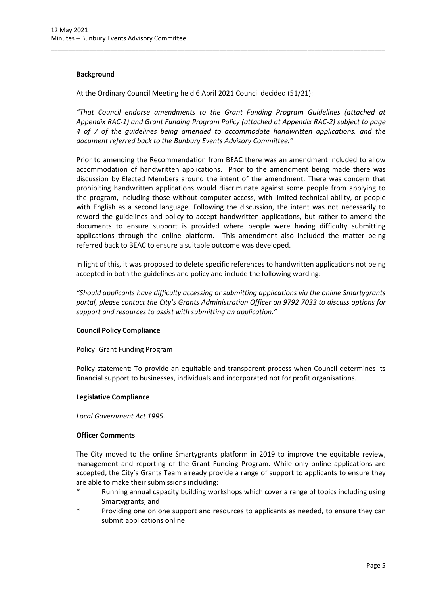#### **Background**

At the Ordinary Council Meeting held 6 April 2021 Council decided (51/21):

*"That Council endorse amendments to the Grant Funding Program Guidelines (attached at Appendix RAC-1) and Grant Funding Program Policy (attached at Appendix RAC-2) subject to page 4 of 7 of the guidelines being amended to accommodate handwritten applications, and the document referred back to the Bunbury Events Advisory Committee."*

\_\_\_\_\_\_\_\_\_\_\_\_\_\_\_\_\_\_\_\_\_\_\_\_\_\_\_\_\_\_\_\_\_\_\_\_\_\_\_\_\_\_\_\_\_\_\_\_\_\_\_\_\_\_\_\_\_\_\_\_\_\_\_\_\_\_\_\_\_\_\_\_\_\_\_\_\_\_\_\_\_\_\_\_\_\_\_\_\_\_\_\_\_\_\_

Prior to amending the Recommendation from BEAC there was an amendment included to allow accommodation of handwritten applications. Prior to the amendment being made there was discussion by Elected Members around the intent of the amendment. There was concern that prohibiting handwritten applications would discriminate against some people from applying to the program, including those without computer access, with limited technical ability, or people with English as a second language. Following the discussion, the intent was not necessarily to reword the guidelines and policy to accept handwritten applications, but rather to amend the documents to ensure support is provided where people were having difficulty submitting applications through the online platform. This amendment also included the matter being referred back to BEAC to ensure a suitable outcome was developed.

In light of this, it was proposed to delete specific references to handwritten applications not being accepted in both the guidelines and policy and include the following wording:

*"Should applicants have difficulty accessing or submitting applications via the online Smartygrants portal, please contact the City's Grants Administration Officer on 9792 7033 to discuss options for support and resources to assist with submitting an application."*

#### **Council Policy Compliance**

Policy: Grant Funding Program

Policy statement: To provide an equitable and transparent process when Council determines its financial support to businesses, individuals and incorporated not for profit organisations.

#### **Legislative Compliance**

*Local Government Act 1995.*

#### **Officer Comments**

The City moved to the online Smartygrants platform in 2019 to improve the equitable review, management and reporting of the Grant Funding Program. While only online applications are accepted, the City's Grants Team already provide a range of support to applicants to ensure they are able to make their submissions including:

- Running annual capacity building workshops which cover a range of topics including using Smartygrants; and
- Providing one on one support and resources to applicants as needed, to ensure they can submit applications online.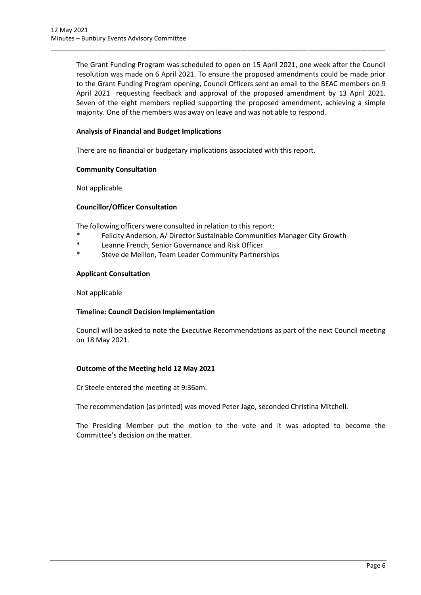The Grant Funding Program was scheduled to open on 15 April 2021, one week after the Council resolution was made on 6 April 2021. To ensure the proposed amendments could be made prior to the Grant Funding Program opening, Council Officers sent an email to the BEAC members on 9 April 2021 requesting feedback and approval of the proposed amendment by 13 April 2021. Seven of the eight members replied supporting the proposed amendment, achieving a simple majority. One of the members was away on leave and was not able to respond.

\_\_\_\_\_\_\_\_\_\_\_\_\_\_\_\_\_\_\_\_\_\_\_\_\_\_\_\_\_\_\_\_\_\_\_\_\_\_\_\_\_\_\_\_\_\_\_\_\_\_\_\_\_\_\_\_\_\_\_\_\_\_\_\_\_\_\_\_\_\_\_\_\_\_\_\_\_\_\_\_\_\_\_\_\_\_\_\_\_\_\_\_\_\_\_

#### **Analysis of Financial and Budget Implications**

There are no financial or budgetary implications associated with this report.

#### **Community Consultation**

Not applicable.

#### **Councillor/Officer Consultation**

The following officers were consulted in relation to this report:

- \* Felicity Anderson, A/ Director Sustainable Communities Manager City Growth
- \* Leanne French, Senior Governance and Risk Officer
- \* Steve de Meillon, Team Leader Community Partnerships

#### **Applicant Consultation**

Not applicable

#### **Timeline: Council Decision Implementation**

Council will be asked to note the Executive Recommendations as part of the next Council meeting on 18 May 2021.

#### **Outcome of the Meeting held 12 May 2021**

Cr Steele entered the meeting at 9:36am.

The recommendation (as printed) was moved Peter Jago, seconded Christina Mitchell.

The Presiding Member put the motion to the vote and it was adopted to become the Committee's decision on the matter.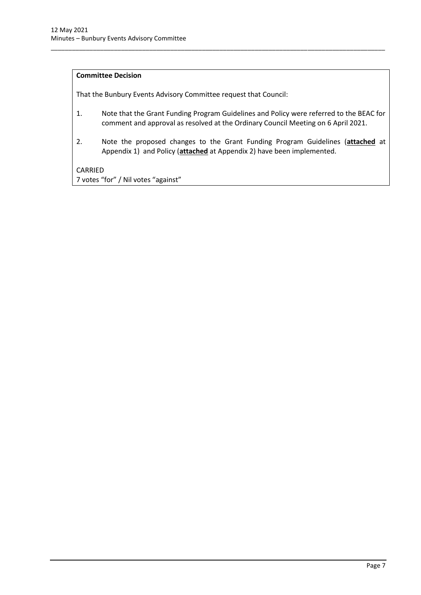#### **Committee Decision**

That the Bunbury Events Advisory Committee request that Council:

1. Note that the Grant Funding Program Guidelines and Policy were referred to the BEAC for comment and approval as resolved at the Ordinary Council Meeting on 6 April 2021.

\_\_\_\_\_\_\_\_\_\_\_\_\_\_\_\_\_\_\_\_\_\_\_\_\_\_\_\_\_\_\_\_\_\_\_\_\_\_\_\_\_\_\_\_\_\_\_\_\_\_\_\_\_\_\_\_\_\_\_\_\_\_\_\_\_\_\_\_\_\_\_\_\_\_\_\_\_\_\_\_\_\_\_\_\_\_\_\_\_\_\_\_\_\_\_

2. Note the proposed changes to the Grant Funding Program Guidelines (**attached** at Appendix 1) and Policy (**attached** at Appendix 2) have been implemented.

#### CARRIED

7 votes "for" / Nil votes "against"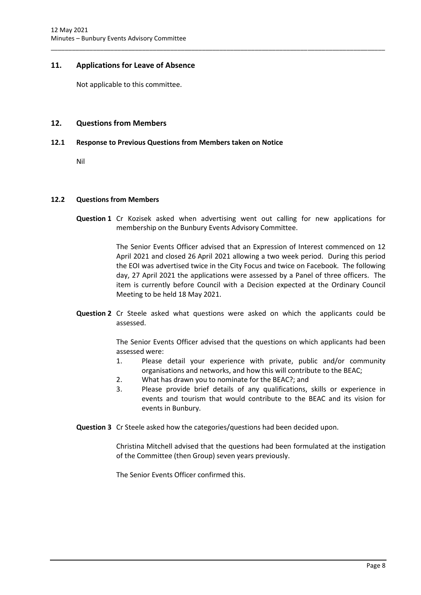#### <span id="page-10-0"></span>**11. Applications for Leave of Absence**

Not applicable to this committee.

#### <span id="page-10-1"></span>**12. Questions from Members**

#### <span id="page-10-2"></span>**12.1 Response to Previous Questions from Members taken on Notice**

Nil

#### <span id="page-10-3"></span>**12.2 Questions from Members**

**Question 1** Cr Kozisek asked when advertising went out calling for new applications for membership on the Bunbury Events Advisory Committee.

\_\_\_\_\_\_\_\_\_\_\_\_\_\_\_\_\_\_\_\_\_\_\_\_\_\_\_\_\_\_\_\_\_\_\_\_\_\_\_\_\_\_\_\_\_\_\_\_\_\_\_\_\_\_\_\_\_\_\_\_\_\_\_\_\_\_\_\_\_\_\_\_\_\_\_\_\_\_\_\_\_\_\_\_\_\_\_\_\_\_\_\_\_\_\_

The Senior Events Officer advised that an Expression of Interest commenced on 12 April 2021 and closed 26 April 2021 allowing a two week period. During this period the EOI was advertised twice in the City Focus and twice on Facebook. The following day, 27 April 2021 the applications were assessed by a Panel of three officers. The item is currently before Council with a Decision expected at the Ordinary Council Meeting to be held 18 May 2021.

**Question 2** Cr Steele asked what questions were asked on which the applicants could be assessed.

> The Senior Events Officer advised that the questions on which applicants had been assessed were:

- 1. Please detail your experience with private, public and/or community organisations and networks, and how this will contribute to the BEAC;
- 2. What has drawn you to nominate for the BEAC?; and
- 3. Please provide brief details of any qualifications, skills or experience in events and tourism that would contribute to the BEAC and its vision for events in Bunbury.
- **Question 3** Cr Steele asked how the categories/questions had been decided upon.

Christina Mitchell advised that the questions had been formulated at the instigation of the Committee (then Group) seven years previously.

The Senior Events Officer confirmed this.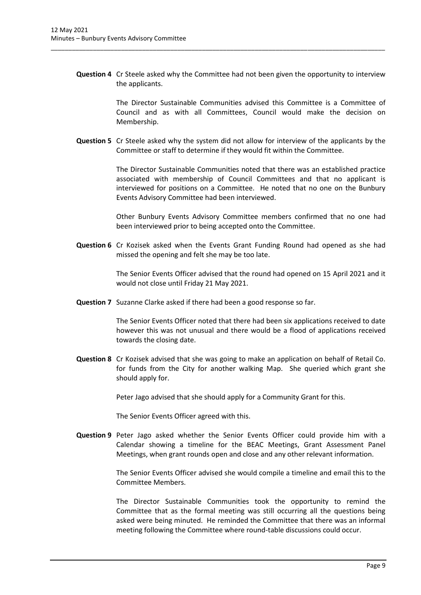**Question 4** Cr Steele asked why the Committee had not been given the opportunity to interview the applicants.

\_\_\_\_\_\_\_\_\_\_\_\_\_\_\_\_\_\_\_\_\_\_\_\_\_\_\_\_\_\_\_\_\_\_\_\_\_\_\_\_\_\_\_\_\_\_\_\_\_\_\_\_\_\_\_\_\_\_\_\_\_\_\_\_\_\_\_\_\_\_\_\_\_\_\_\_\_\_\_\_\_\_\_\_\_\_\_\_\_\_\_\_\_\_\_

The Director Sustainable Communities advised this Committee is a Committee of Council and as with all Committees, Council would make the decision on Membership.

**Question 5** Cr Steele asked why the system did not allow for interview of the applicants by the Committee or staff to determine if they would fit within the Committee.

> The Director Sustainable Communities noted that there was an established practice associated with membership of Council Committees and that no applicant is interviewed for positions on a Committee. He noted that no one on the Bunbury Events Advisory Committee had been interviewed.

> Other Bunbury Events Advisory Committee members confirmed that no one had been interviewed prior to being accepted onto the Committee.

**Question 6** Cr Kozisek asked when the Events Grant Funding Round had opened as she had missed the opening and felt she may be too late.

> The Senior Events Officer advised that the round had opened on 15 April 2021 and it would not close until Friday 21 May 2021.

**Question 7** Suzanne Clarke asked if there had been a good response so far.

The Senior Events Officer noted that there had been six applications received to date however this was not unusual and there would be a flood of applications received towards the closing date.

**Question 8** Cr Kozisek advised that she was going to make an application on behalf of Retail Co. for funds from the City for another walking Map. She queried which grant she should apply for.

Peter Jago advised that she should apply for a Community Grant for this.

The Senior Events Officer agreed with this.

**Question 9** Peter Jago asked whether the Senior Events Officer could provide him with a Calendar showing a timeline for the BEAC Meetings, Grant Assessment Panel Meetings, when grant rounds open and close and any other relevant information.

> The Senior Events Officer advised she would compile a timeline and email this to the Committee Members.

> The Director Sustainable Communities took the opportunity to remind the Committee that as the formal meeting was still occurring all the questions being asked were being minuted. He reminded the Committee that there was an informal meeting following the Committee where round-table discussions could occur.